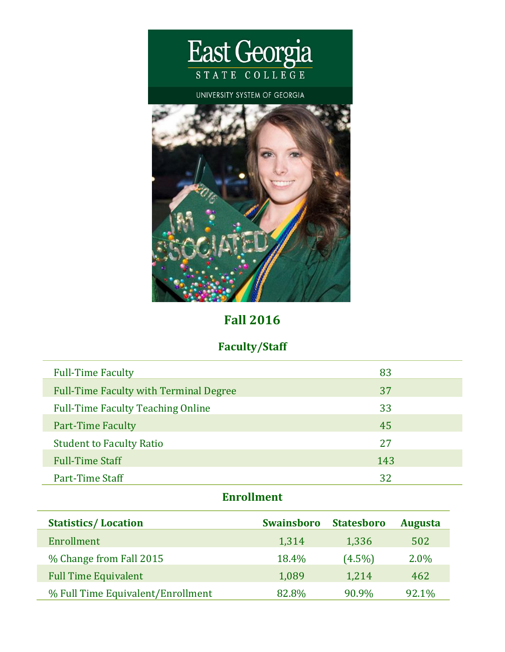

# **Fall 2016**

## **Faculty/Staff**

| <b>Full-Time Faculty</b>                      | 83  |
|-----------------------------------------------|-----|
| <b>Full-Time Faculty with Terminal Degree</b> | 37  |
| <b>Full-Time Faculty Teaching Online</b>      | 33  |
| <b>Part-Time Faculty</b>                      | 45  |
| <b>Student to Faculty Ratio</b>               | 27  |
| <b>Full-Time Staff</b>                        | 143 |
| Part-Time Staff                               | 32  |

# **Enrollment**

| <b>Statistics/Location</b>        | <b>Swainsboro</b> | <b>Statesboro</b> | <b>Augusta</b> |
|-----------------------------------|-------------------|-------------------|----------------|
| Enrollment                        | 1,314             | 1,336             | 502            |
| % Change from Fall 2015           | 18.4%             | $(4.5\%)$         | 2.0%           |
| <b>Full Time Equivalent</b>       | 1,089             | 1,214             | 462            |
| % Full Time Equivalent/Enrollment | 82.8%             | 90.9%             | 92.1%          |